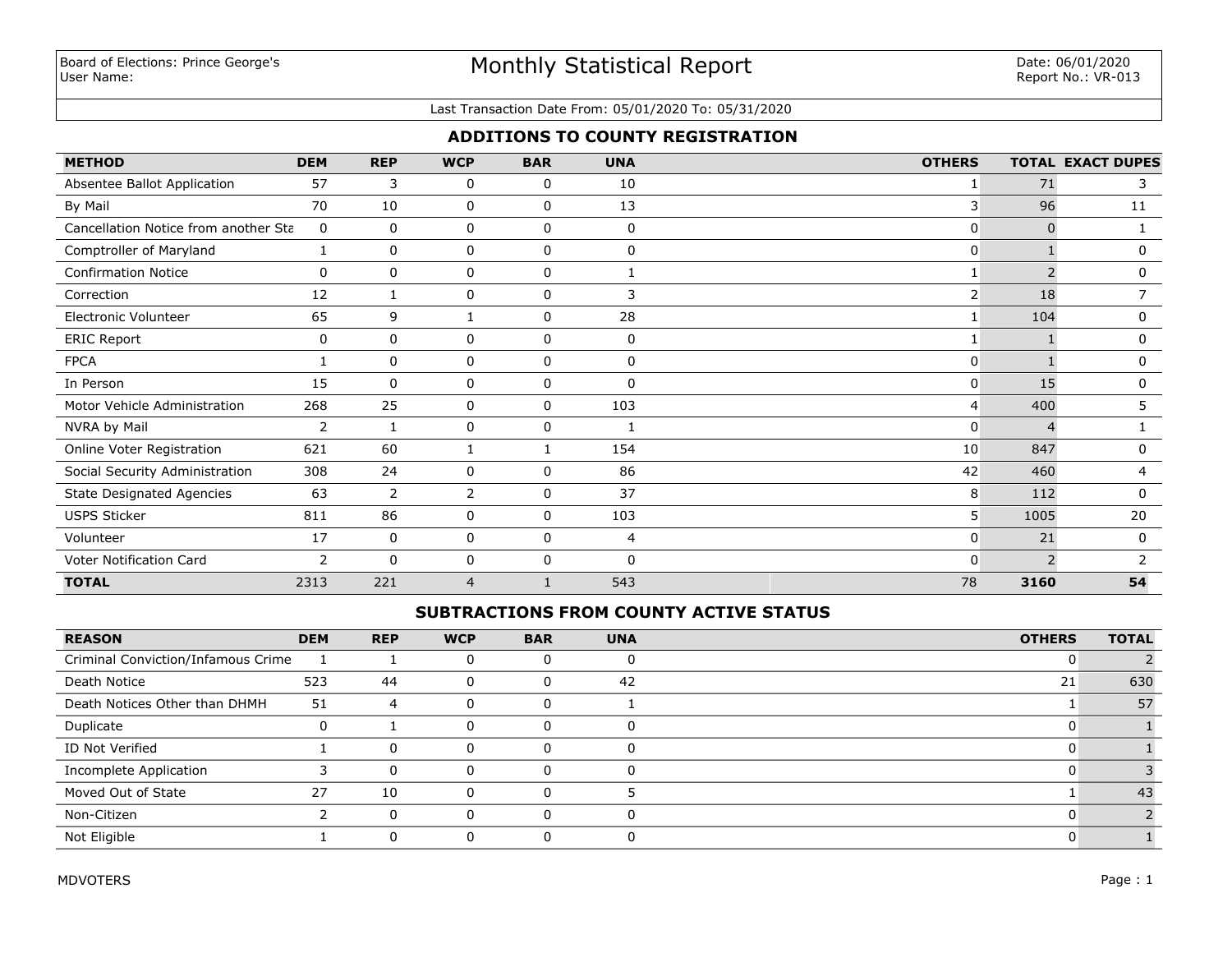# Monthly Statistical Report

#### Last Transaction Date From: 05/01/2020 To: 05/31/2020

## **ADDITIONS TO COUNTY REGISTRATION**

| <b>METHOD</b>                        | <b>DEM</b> | <b>REP</b>   | <b>WCP</b>     | <b>BAR</b>  | <b>UNA</b>   | <b>OTHERS</b>  |                          | <b>TOTAL EXACT DUPES</b> |
|--------------------------------------|------------|--------------|----------------|-------------|--------------|----------------|--------------------------|--------------------------|
| Absentee Ballot Application          | 57         | 3            | 0              | 0           | 10           |                | 71                       | 3                        |
| By Mail                              | 70         | 10           | 0              | 0           | 13           | 3              | 96                       | 11                       |
| Cancellation Notice from another Sta | 0          | 0            | 0              | 0           | 0            | $\mathbf{0}$   | $\Omega$                 |                          |
| Comptroller of Maryland              |            | 0            | 0              | $\mathbf 0$ | $\mathbf{0}$ | $\mathbf{0}$   |                          | 0                        |
| <b>Confirmation Notice</b>           | 0          | 0            | 0              | 0           |              |                | $\overline{\phantom{0}}$ | 0                        |
| Correction                           | 12         | $\mathbf{1}$ | 0              | $\mathbf 0$ | 3            | $\overline{2}$ | 18                       | 7                        |
| Electronic Volunteer                 | 65         | 9            | 1              | 0           | 28           |                | 104                      | $\mathbf 0$              |
| <b>ERIC Report</b>                   | 0          | 0            | 0              | 0           | 0            |                |                          | 0                        |
| <b>FPCA</b>                          |            | 0            | 0              | $\mathbf 0$ | 0            | $\mathbf{0}$   |                          | $\mathbf{0}$             |
| In Person                            | 15         | $\mathbf{0}$ | 0              | $\mathbf 0$ | $\Omega$     | $\mathbf{0}$   | 15                       | 0                        |
| Motor Vehicle Administration         | 268        | 25           | 0              | $\mathbf 0$ | 103          | 4              | 400                      | 5                        |
| NVRA by Mail                         | 2          | -1           | 0              | 0           | 1            | $\Omega$       |                          |                          |
| Online Voter Registration            | 621        | 60           | $\mathbf{1}$   |             | 154          | 10             | 847                      | $\mathbf 0$              |
| Social Security Administration       | 308        | 24           | 0              | 0           | 86           | 42             | 460                      | 4                        |
| <b>State Designated Agencies</b>     | 63         | 2            | 2              | 0           | 37           | 8              | 112                      | 0                        |
| <b>USPS Sticker</b>                  | 811        | 86           | 0              | $\mathbf 0$ | 103          | 5 <sup>1</sup> | 1005                     | 20                       |
| Volunteer                            | 17         | $\mathbf 0$  | 0              | 0           | 4            | $\Omega$       | 21                       | $\Omega$                 |
| Voter Notification Card              | 2          | $\mathbf 0$  | 0              | $\mathbf 0$ | $\Omega$     | $\Omega$       | $\overline{2}$           |                          |
| <b>TOTAL</b>                         | 2313       | 221          | $\overline{4}$ |             | 543          | 78             | 3160                     | 54                       |

## **SUBTRACTIONS FROM COUNTY ACTIVE STATUS**

| <b>REASON</b>                      | <b>DEM</b> | <b>REP</b> | <b>WCP</b> | <b>BAR</b> | <b>UNA</b> | <b>OTHERS</b> | <b>TOTAL</b> |
|------------------------------------|------------|------------|------------|------------|------------|---------------|--------------|
| Criminal Conviction/Infamous Crime |            |            |            |            |            |               |              |
| Death Notice                       | 523        | 44         | 0          | O          | 42         | 21            | 630          |
| Death Notices Other than DHMH      | 51         | 4          | 0          | 0          |            |               | 57           |
| Duplicate                          |            |            | 0          | O          |            |               |              |
| ID Not Verified                    |            | $\Omega$   |            |            |            |               |              |
| Incomplete Application             |            | $\Omega$   |            |            |            |               |              |
| Moved Out of State                 | 27         | 10         |            |            |            |               | 43           |
| Non-Citizen                        |            | $\Omega$   |            | n          |            |               |              |
| Not Eligible                       |            | $\Omega$   |            |            |            |               |              |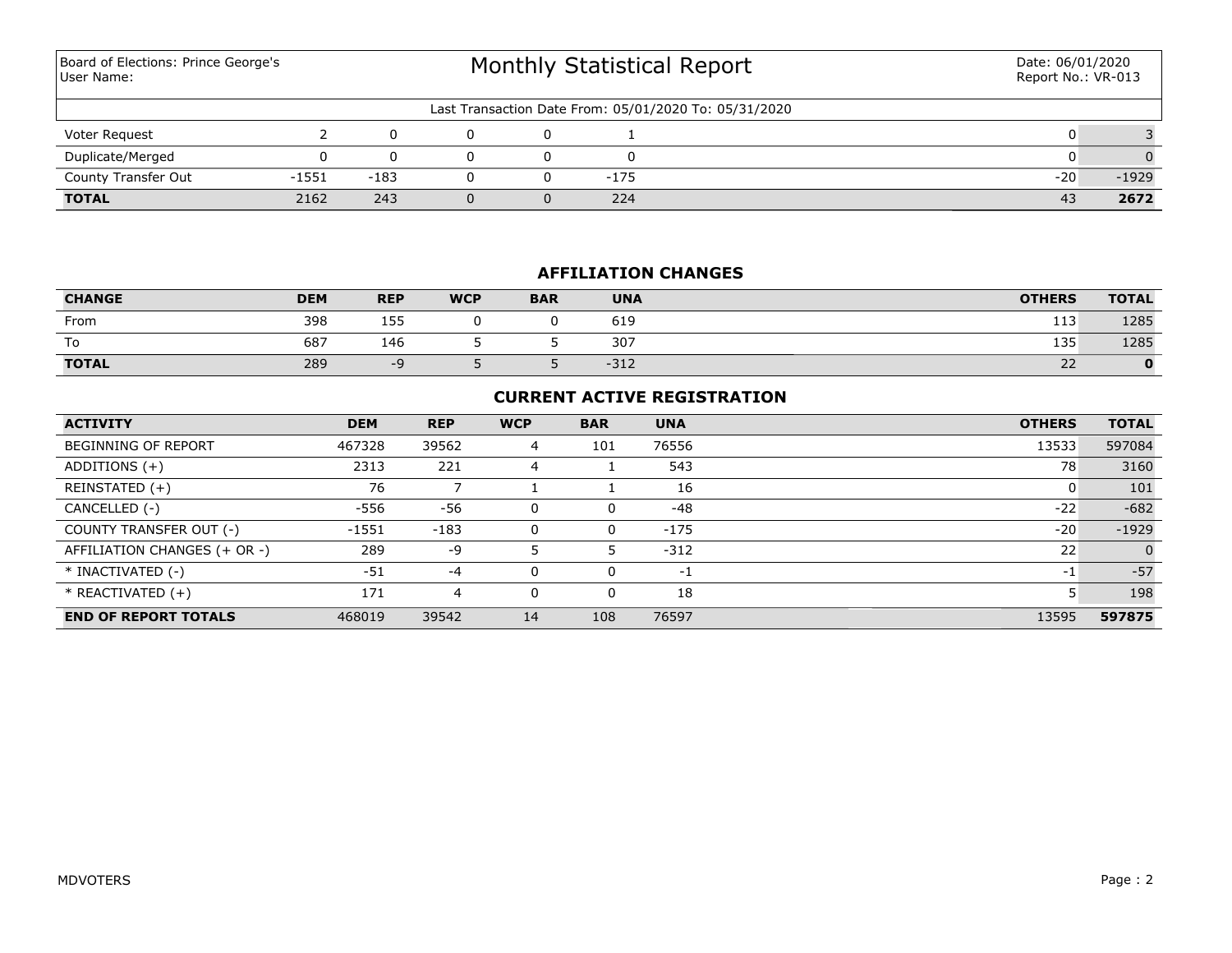Monthly Statistical Report Last Transaction Date From: 05/01/2020 To: 05/31/2020 Board of Elections: Prince George's User Name: Date: 06/01/2020 Report No.: VR-013 Voter Request 2 0 0 0 1 0 3 **TOTAL** 2162 243 0 0 224 43 **2672** County Transfer Out  $-1551$   $-183$  0 0  $-175$  -20  $-1929$ Duplicate/Merged 0 0 0 0 0 0 0

## **AFFILIATION CHANGES**

| <b>CHANGE</b> | <b>DEM</b> | <b>REP</b> | <b>WCP</b> | <b>BAR</b> | <b>UNA</b> | <b>OTHERS</b> | <b>TOTAL</b> |
|---------------|------------|------------|------------|------------|------------|---------------|--------------|
| From          | 398        | 155        |            |            | 619        | 113           | 1285         |
| To            | 687        | 146        |            |            | 307        | 135           | 1285         |
| <b>TOTAL</b>  | 289        | --         |            |            | $-312$     | $\sim$<br>22  |              |

## **CURRENT ACTIVE REGISTRATION**

| <b>ACTIVITY</b>              | <b>DEM</b> | <b>REP</b> | <b>WCP</b> | <b>BAR</b> | <b>UNA</b> | <b>OTHERS</b> | <b>TOTAL</b> |
|------------------------------|------------|------------|------------|------------|------------|---------------|--------------|
| <b>BEGINNING OF REPORT</b>   | 467328     | 39562      | 4          | 101        | 76556      | 13533         | 597084       |
| ADDITIONS $(+)$              | 2313       | 221        | 4          |            | 543        | 78            | 3160         |
| REINSTATED (+)               | 76         |            |            |            | 16         | 0             | 101          |
| CANCELLED (-)                | -556       | -56        | 0          | 0          | -48        | $-22$         | $-682$       |
| COUNTY TRANSFER OUT (-)      | $-1551$    | $-183$     | 0          | 0          | $-175$     | $-20$         | $-1929$      |
| AFFILIATION CHANGES (+ OR -) | 289        | -9         |            |            | $-312$     | 22            | $\Omega$     |
| * INACTIVATED (-)            | $-51$      | $-4$       | 0          | $\Omega$   | $-1$       | $-1$          | $-57$        |
| * REACTIVATED (+)            | 171        | 4          | 0          | 0          | 18         |               | 198          |
| <b>END OF REPORT TOTALS</b>  | 468019     | 39542      | 14         | 108        | 76597      | 13595         | 597875       |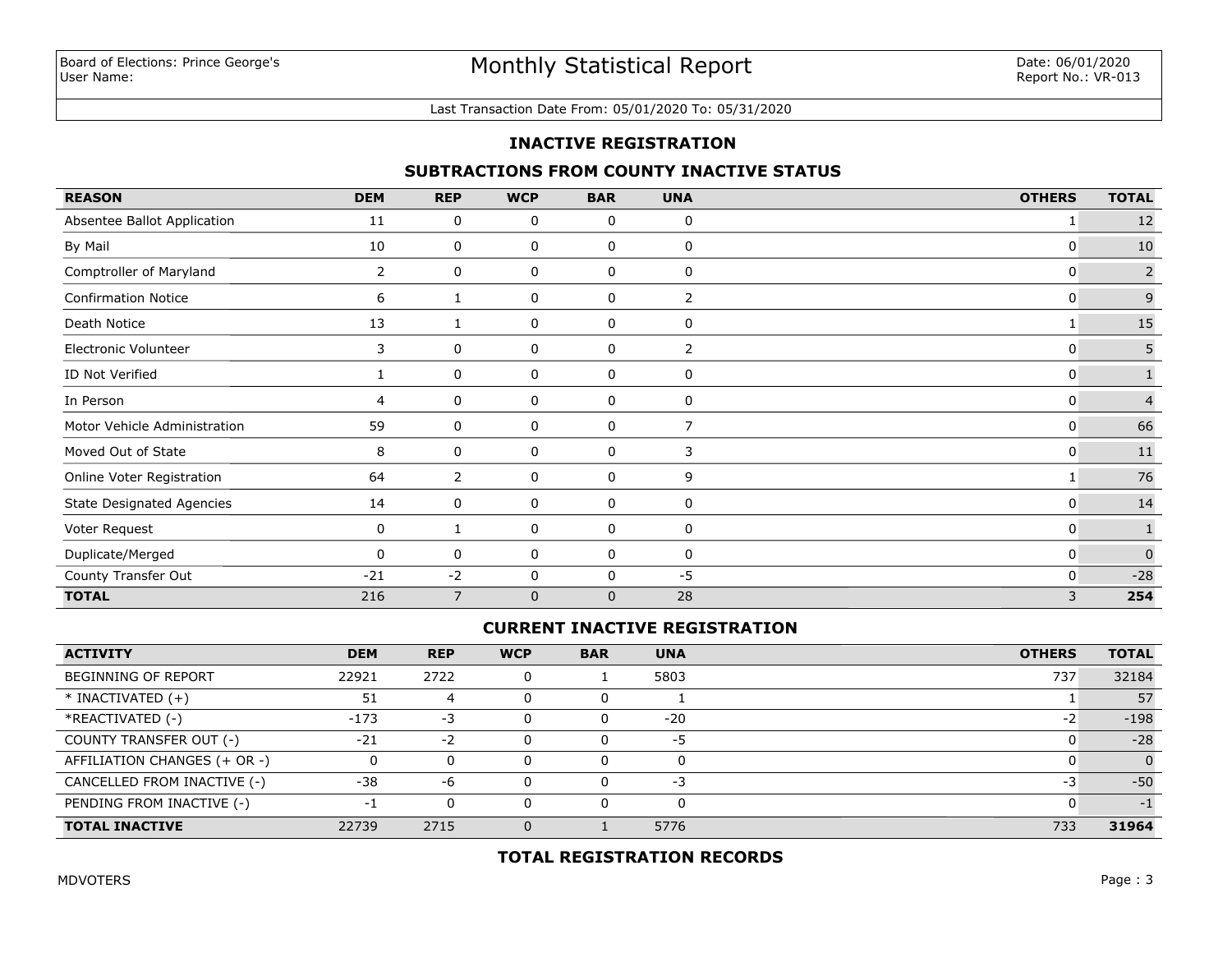#### Last Transaction Date From: 05/01/2020 To: 05/31/2020

#### **INACTIVE REGISTRATION**

#### **SUBTRACTIONS FROM COUNTY INACTIVE STATUS**

| <b>REASON</b>                    | <b>DEM</b>     | <b>REP</b>     | <b>WCP</b>   | <b>BAR</b>   | <b>UNA</b>     | <b>OTHERS</b> | <b>TOTAL</b>   |
|----------------------------------|----------------|----------------|--------------|--------------|----------------|---------------|----------------|
| Absentee Ballot Application      | 11             | 0              | 0            | 0            | 0              | 1             | 12             |
| By Mail                          | 10             | 0              | 0            | 0            | 0              | 0             | 10             |
| Comptroller of Maryland          | $\overline{2}$ | 0              | 0            | 0            | 0              | 0             | $\overline{2}$ |
| <b>Confirmation Notice</b>       | 6              |                | 0            | 0            | 2              | 0             | 9              |
| Death Notice                     | 13             |                | 0            | 0            | 0              | 1             | 15             |
| Electronic Volunteer             | 3              | 0              | 0            | 0            | $\overline{2}$ | 0             | 5              |
| ID Not Verified                  |                | 0              | 0            | 0            | 0              | 0             | $\mathbf 1$    |
| In Person                        | 4              | 0              | 0            | 0            | 0              | 0             | $\overline{4}$ |
| Motor Vehicle Administration     | 59             | 0              | 0            | $\mathbf 0$  | 7              | 0             | 66             |
| Moved Out of State               | 8              | 0              | 0            | 0            | 3              | 0             | $11\,$         |
| Online Voter Registration        | 64             | 2              | 0            | 0            | 9              | 1             | 76             |
| <b>State Designated Agencies</b> | 14             | 0              | 0            | 0            | 0              | 0             | 14             |
| Voter Request                    | 0              |                | 0            | 0            | 0              | 0             | $\mathbf{1}$   |
| Duplicate/Merged                 | 0              | 0              | 0            | 0            | 0              | 0             | $\mathbf 0$    |
| County Transfer Out              | $-21$          | $-2$           | 0            | 0            | -5             | 0             | $-28$          |
| <b>TOTAL</b>                     | 216            | $\overline{7}$ | $\mathbf{0}$ | $\mathbf{0}$ | 28             | 3             | 254            |

#### **CURRENT INACTIVE REGISTRATION**

| <b>ACTIVITY</b>              | <b>DEM</b> | <b>REP</b>  | <b>WCP</b> | <b>BAR</b> | <b>UNA</b> | <b>OTHERS</b> | <b>TOTAL</b> |
|------------------------------|------------|-------------|------------|------------|------------|---------------|--------------|
| <b>BEGINNING OF REPORT</b>   | 22921      | 2722        |            |            | 5803       | 737           | 32184        |
| $*$ INACTIVATED $(+)$        | 51         | 4           |            |            |            |               | 57           |
| *REACTIVATED (-)             | $-173$     | -3          |            |            | $-20$      | $-2$          | $-198$       |
| COUNTY TRANSFER OUT (-)      | $-21$      | $-2$        |            |            | -5         |               | $-28$        |
| AFFILIATION CHANGES (+ OR -) |            | 0           |            |            | 0          |               | $\Omega$     |
| CANCELLED FROM INACTIVE (-)  | -38        | -6          |            |            | $-3$       | -3            | $-50$        |
| PENDING FROM INACTIVE (-)    | нf         | $\mathbf 0$ |            |            | 0          |               | -1           |
| <b>TOTAL INACTIVE</b>        | 22739      | 2715        |            |            | 5776       | 733           | 31964        |

## **TOTAL REGISTRATION RECORDS**